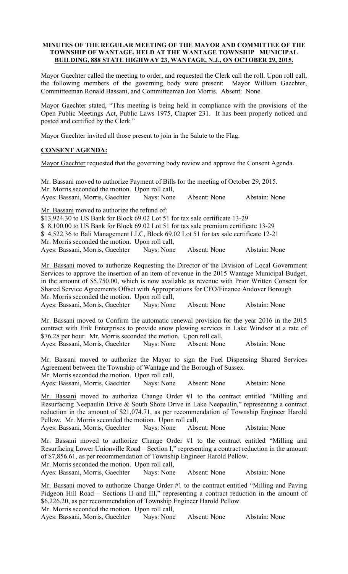## MINUTES OF THE REGULAR MEETING OF THE MAYOR AND COMMITTEE OF THE TOWNSHIP OF WANTAGE, HELD AT THE WANTAGE TOWNSHIP MUNICIPAL BUILDING, 888 STATE HIGHWAY 23, WANTAGE, N.J., ON OCTOBER 29, 2015.

Mayor Gaechter called the meeting to order, and requested the Clerk call the roll. Upon roll call, the following members of the governing body were present: Mayor William Gaechter, Committeeman Ronald Bassani, and Committeeman Jon Morris. Absent: None.

Mayor Gaechter stated, "This meeting is being held in compliance with the provisions of the Open Public Meetings Act, Public Laws 1975, Chapter 231. It has been properly noticed and posted and certified by the Clerk."

Mayor Gaechter invited all those present to join in the Salute to the Flag.

# CONSENT AGENDA:

Mayor Gaechter requested that the governing body review and approve the Consent Agenda.

Mr. Bassani moved to authorize Payment of Bills for the meeting of October 29, 2015. Mr. Morris seconded the motion. Upon roll call, Ayes: Bassani, Morris, Gaechter Nays: None Absent: None Abstain: None Mr. Bassani moved to authorize the refund of:

\$13,924.30 to US Bank for Block 69.02 Lot 51 for tax sale certificate 13-29 \$ 8,100.00 to US Bank for Block 69.02 Lot 51 for tax sale premium certificate 13-29 \$ 4,522.36 to Bali Management LLC, Block 69.02 Lot 51 for tax sale certificate 12-21 Mr. Morris seconded the motion. Upon roll call, Ayes: Bassani, Morris, Gaechter Nays: None Absent: None Abstain: None

Mr. Bassani moved to authorize Requesting the Director of the Division of Local Government Services to approve the insertion of an item of revenue in the 2015 Wantage Municipal Budget, in the amount of \$5,750.00, which is now available as revenue with Prior Written Consent for Shared Service Agreements Offset with Appropriations for CFO/Finance Andover Borough Mr. Morris seconded the motion. Upon roll call,

Ayes: Bassani, Morris, Gaechter Nays: None Absent: None Abstain: None

Mr. Bassani moved to Confirm the automatic renewal provision for the year 2016 in the 2015 contract with Erik Enterprises to provide snow plowing services in Lake Windsor at a rate of \$76.28 per hour. Mr. Morris seconded the motion. Upon roll call,

Ayes: Bassani, Morris, Gaechter Nays: None Absent: None Abstain: None

Mr. Bassani moved to authorize the Mayor to sign the Fuel Dispensing Shared Services Agreement between the Township of Wantage and the Borough of Sussex. Mr. Morris seconded the motion. Upon roll call,

Ayes: Bassani, Morris, Gaechter Nays: None Absent: None Abstain: None

Mr. Bassani moved to authorize Change Order #1 to the contract entitled "Milling and Resurfacing Neepaulin Drive & South Shore Drive in Lake Neepaulin," representing a contract reduction in the amount of \$21,074.71, as per recommendation of Township Engineer Harold Pellow. Mr. Morris seconded the motion. Upon roll call,

Ayes: Bassani, Morris, Gaechter Nays: None Absent: None Abstain: None

Mr. Bassani moved to authorize Change Order #1 to the contract entitled "Milling and Resurfacing Lower Unionville Road – Section I," representing a contract reduction in the amount of \$7,856.61, as per recommendation of Township Engineer Harold Pellow.

Mr. Morris seconded the motion. Upon roll call,

Ayes: Bassani, Morris, Gaechter Nays: None Absent: None Abstain: None

Mr. Bassani moved to authorize Change Order #1 to the contract entitled "Milling and Paving Pidgeon Hill Road – Sections II and III," representing a contract reduction in the amount of \$6,226.20, as per recommendation of Township Engineer Harold Pellow. Mr. Morris seconded the motion. Upon roll call,

Ayes: Bassani, Morris, Gaechter Nays: None Absent: None Abstain: None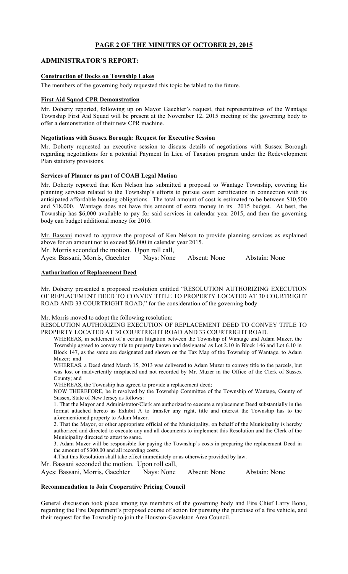# PAGE 2 OF THE MINUTES OF OCTOBER 29, 2015

# ADMINISTRATOR'S REPORT:

### Construction of Docks on Township Lakes

The members of the governing body requested this topic be tabled to the future.

### First Aid Squad CPR Demonstration

Mr. Doherty reported, following up on Mayor Gaechter's request, that representatives of the Wantage Township First Aid Squad will be present at the November 12, 2015 meeting of the governing body to offer a demonstration of their new CPR machine.

### Negotiations with Sussex Borough: Request for Executive Session

Mr. Doherty requested an executive session to discuss details of negotiations with Sussex Borough regarding negotiations for a potential Payment In Lieu of Taxation program under the Redevelopment Plan statutory provisions.

### Services of Planner as part of COAH Legal Motion

Mr. Doherty reported that Ken Nelson has submitted a proposal to Wantage Township, covering his planning services related to the Township's efforts to pursue court certification in connection with its anticipated affordable housing obligations. The total amount of cost is estimated to be between \$10,500 and \$18,000. Wantage does not have this amount of extra money in its 2015 budget. At best, the Township has \$6,000 available to pay for said services in calendar year 2015, and then the governing body can budget additional money for 2016.

Mr. Bassani moved to approve the proposal of Ken Nelson to provide planning services as explained above for an amount not to exceed \$6,000 in calendar year 2015.

Mr. Morris seconded the motion. Upon roll call,

Ayes: Bassani, Morris, Gaechter Nays: None Absent: None Abstain: None

### Authorization of Replacement Deed

Mr. Doherty presented a proposed resolution entitled "RESOLUTION AUTHORIZING EXECUTION OF REPLACEMENT DEED TO CONVEY TITLE TO PROPERTY LOCATED AT 30 COURTRIGHT ROAD AND 33 COURTRIGHT ROAD," for the consideration of the governing body.

Mr. Morris moved to adopt the following resolution:

RESOLUTION AUTHORIZING EXECUTION OF REPLACEMENT DEED TO CONVEY TITLE TO PROPERTY LOCATED AT 30 COURTRIGHT ROAD AND 33 COURTRIGHT ROAD.

WHEREAS, in settlement of a certain litigation between the Township of Wantage and Adam Muzer, the Township agreed to convey title to property known and designated as Lot 2.10 in Block 146 and Lot 6.10 in Block 147, as the same are designated and shown on the Tax Map of the Township of Wantage, to Adam Muzer: and

WHEREAS, a Deed dated March 15, 2013 was delivered to Adam Muzer to convey title to the parcels, but was lost or inadvertently misplaced and not recorded by Mr. Muzer in the Office of the Clerk of Sussex County; and

WHEREAS, the Township has agreed to provide a replacement deed;

NOW THEREFORE, be it resolved by the Township Committee of the Township of Wantage, County of Sussex, State of New Jersey as follows:

1. That the Mayor and Administrator/Clerk are authorized to execute a replacement Deed substantially in the format attached hereto as Exhibit A to transfer any right, title and interest the Township has to the aforementioned property to Adam Muzer.

2. That the Mayor, or other appropriate official of the Municipality, on behalf of the Municipality is hereby authorized and directed to execute any and all documents to implement this Resolution and the Clerk of the Municipality directed to attest to same.

3. Adam Muzer will be responsible for paying the Township's costs in preparing the replacement Deed in the amount of \$300.00 and all recording costs.

4.That this Resolution shall take effect immediately or as otherwise provided by law.

Mr. Bassani seconded the motion. Upon roll call,

Ayes: Bassani, Morris, Gaechter Nays: None Absent: None Abstain: None

## Recommendation to Join Cooperative Pricing Council

General discussion took place among tye members of the governing body and Fire Chief Larry Bono, regarding the Fire Department's proposed course of action for pursuing the purchase of a fire vehicle, and their request for the Township to join the Houston-Gavelston Area Council.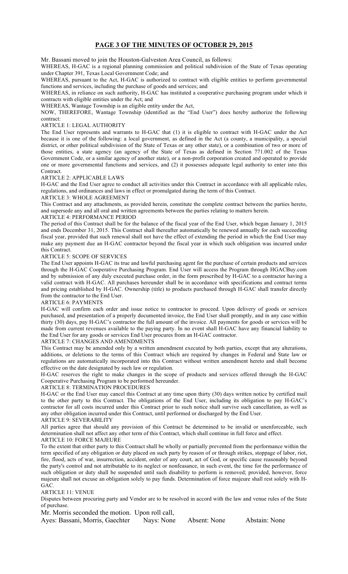# PAGE 3 OF THE MINUTES OF OCTOBER 29, 2015

Mr. Bassani moved to join the Houston-Galveston Area Council, as follows:

WHEREAS, H-GAC is a regional planning commission and political subdivision of the State of Texas operating under Chapter 391, Texas Local Government Code; and

WHEREAS, pursuant to the Act, H-GAC is authorized to contract with eligible entities to perform governmental functions and services, including the purchase of goods and services; and

WHEREAS, in reliance on such authority, H-GAC has instituted a cooperative purchasing program under which it contracts with eligible entities under the Act; and

WHEREAS, Wantage Township is an eligible entity under the Act,

NOW, THEREFORE, Wantage Township (identified as the "End User") does hereby authorize the following contract:

#### ARTICLE 1: LEGAL AUTHORITY

The End User represents and warrants to H-GAC that (1) it is eligible to contract with H-GAC under the Act because it is one of the following: a local government, as defined in the Act (a county, a municipality, a special district, or other political subdivision of the State of Texas or any other state), or a combination of two or more of those entities, a state agency (an agency of the State of Texas as defined in Section 771.002 of the Texas Government Code, or a similar agency of another state), or a non-profit corporation created and operated to provide one or more governmental functions and services, and (2) it possesses adequate legal authority to enter into this Contract.

#### ARTICLE 2: APPLICABLE LAWS

H-GAC and the End User agree to conduct all activities under this Contract in accordance with all applicable rules, regulations, and ordinances and laws in effect or promulgated during the term of this Contract.

#### ARTICLE 3: WHOLE AGREEMENT

This Contract and any attachments, as provided herein, constitute the complete contract between the parties hereto, and supersede any and all oral and written agreements between the parties relating to matters herein.

#### ARTICLE 4: PERFORMANCE PERIOD

The period of this Contract shall be for the balance of the fiscal year of the End User, which began January 1, 2015 and ends December 31, 2015. This Contract shall thereafter automatically be renewed annually for each succeeding fiscal year, provided that such renewal shall not have the effect of extending the period in which the End User may make any payment due an H-GAC contractor beyond the fiscal year in which such obligation was incurred under this Contract.

#### ARTICLE 5: SCOPE OF SERVICES

The End User appoints H-GAC its true and lawful purchasing agent for the purchase of certain products and services through the H-GAC Cooperative Purchasing Program. End User will access the Program through HGACBuy.com and by submission of any duly executed purchase order, in the form prescribed by H-GAC to a contractor having a valid contract with H-GAC. All purchases hereunder shall be in accordance with specifications and contract terms and pricing established by H-GAC. Ownership (title) to products purchased through H-GAC shall transfer directly from the contractor to the End User.

#### ARTICLE 6: PAYMENTS

H-GAC will confirm each order and issue notice to contractor to proceed. Upon delivery of goods or services purchased, and presentation of a properly documented invoice, the End User shall promptly, and in any case within thirty (30) days, pay H-GAC's contractor the full amount of the invoice. All payments for goods or services will be made from current revenues available to the paying party. In no event shall H-GAC have any financial liability to the End User for any goods or services End User procures from an H-GAC contractor.

#### ARTICLE 7: CHANGES AND AMENDMENTS

This Contract may be amended only by a written amendment executed by both parties, except that any alterations, additions, or deletions to the terms of this Contract which are required by changes in Federal and State law or regulations are automatically incorporated into this Contract without written amendment hereto and shall become effective on the date designated by such law or regulation.

H-GAC reserves the right to make changes in the scope of products and services offered through the H-GAC Cooperative Purchasing Program to be performed hereunder.

#### ARTICLE 8: TERMINATION PROCEDURES

H-GAC or the End User may cancel this Contract at any time upon thirty (30) days written notice by certified mail to the other party to this Contract. The obligations of the End User, including its obligation to pay H-GAC's contractor for all costs incurred under this Contract prior to such notice shall survive such cancellation, as well as any other obligation incurred under this Contract, until performed or discharged by the End User. ARTICLE 9: SEVERABILITY

#### All parties agree that should any provision of this Contract be determined to be invalid or unenforceable, such determination shall not affect any other term of this Contract, which shall continue in full force and effect. ARTICLE 10: FORCE MAJEURE

To the extent that either party to this Contract shall be wholly or partially prevented from the performance within the term specified of any obligation or duty placed on such party by reason of or through strikes, stoppage of labor, riot, fire, flood, acts of war, insurrection, accident, order of any court, act of God, or specific cause reasonably beyond the party's control and not attributable to its neglect or nonfeasance, in such event, the time for the performance of such obligation or duty shall be suspended until such disability to perform is removed; provided, however, force majeure shall not excuse an obligation solely to pay funds. Determination of force majeure shall rest solely with H-GAC.

ARTICLE 11: VENUE

Disputes between procuring party and Vendor are to be resolved in accord with the law and venue rules of the State of purchase.

Mr. Morris seconded the motion. Upon roll call,

Ayes: Bassani, Morris, Gaechter Nays: None Absent: None Abstain: None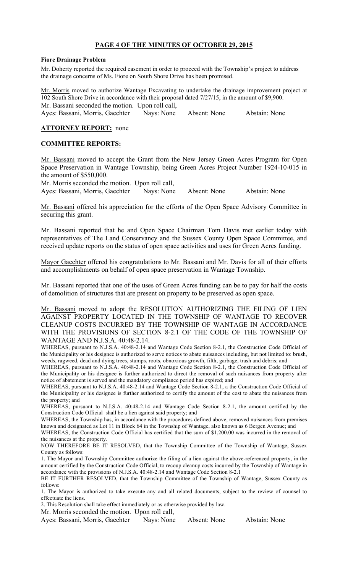# PAGE 4 OF THE MINUTES OF OCTOBER 29, 2015

## Fiore Drainage Problem

Mr. Doherty reported the required easement in order to proceed with the Township's project to address the drainage concerns of Ms. Fiore on South Shore Drive has been promised.

Mr. Morris moved to authorize Wantage Excavating to undertake the drainage improvement project at 102 South Shore Drive in accordance with their proposal dated 7/27/15, in the amount of \$9,900. Mr. Bassani seconded the motion. Upon roll call, Ayes: Bassani, Morris, Gaechter Nays: None Absent: None Abstain: None

## **ATTORNEY REPORT:** none

## COMMITTEE REPORTS:

Mr. Bassani moved to accept the Grant from the New Jersey Green Acres Program for Open Space Preservation in Wantage Township, being Green Acres Project Number 1924-10-015 in the amount of \$550,000.

Mr. Morris seconded the motion. Upon roll call, Ayes: Bassani, Morris, Gaechter Nays: None Absent: None Abstain: None

Mr. Bassani offered his appreciation for the efforts of the Open Space Advisory Committee in securing this grant.

Mr. Bassani reported that he and Open Space Chairman Tom Davis met earlier today with representatives of The Land Conservancy and the Sussex County Open Space Committee, and received update reports on the status of open space activities and uses for Green Acres funding.

Mayor Gaechter offered his congratulations to Mr. Bassani and Mr. Davis for all of their efforts and accomplishments on behalf of open space preservation in Wantage Township.

Mr. Bassani reported that one of the uses of Green Acres funding can be to pay for half the costs of demolition of structures that are present on property to be preserved as open space.

Mr. Bassani moved to adopt the RESOLUTION AUTHORIZING THE FILING OF LIEN AGAINST PROPERTY LOCATED IN THE TOWNSHIP OF WANTAGE TO RECOVER CLEANUP COSTS INCURRED BY THE TOWNSHIP OF WANTAGE IN ACCORDANCE WITH THE PROVISIONS OF SECTION 8-2.1 OF THE CODE OF THE TOWNSHIP OF WANTAGE AND N.J.S.A. 40:48-2.14.

WHEREAS, pursuant to N.J.S.A. 40:48-2.14 and Wantage Code Section 8-2.1, the Construction Code Official of the Municipality or his designee is authorized to serve notices to abate nuisances including, but not limited to: brush, weeds, ragweed, dead and dying trees, stumps, roots, obnoxious growth, filth, garbage, trash and debris; and

WHEREAS, pursuant to N.J.S.A. 40:48-2.14 and Wantage Code Section 8-2.1, the Construction Code Official of the Municipality or his designee is further authorized to direct the removal of such nuisances from property after notice of abatement is served and the mandatory compliance period has expired; and

WHEREAS, pursuant to N.J.S.A. 40:48-2.14 and Wantage Code Section 8-2.1, a the Construction Code Official of the Municipality or his designee is further authorized to certify the amount of the cost to abate the nuisances from the property; and

WHEREAS, pursuant to N.J.S.A. 40:48-2.14 and Wantage Code Section 8-2.1, the amount certified by the Construction Code Official shall be a lien against said property; and

WHEREAS, the Township has, in accordance with the procedures defined above, removed nuisances from premises known and designated as Lot 11 in Block 64 in the Township of Wantage, also known as 6 Bergen Avenue; and

WHEREAS, the Construction Code Official has certified that the sum of \$1,200.00 was incurred in the removal of the nuisances at the property.

NOW THEREFORE BE IT RESOLVED, that the Township Committee of the Township of Wantage, Sussex County as follows:

1. The Mayor and Township Committee authorize the filing of a lien against the above-referenced property, in the amount certified by the Construction Code Official, to recoup cleanup costs incurred by the Township of Wantage in accordance with the provisions of N.J.S.A. 40:48-2.14 and Wantage Code Section 8-2.1

BE IT FURTHER RESOLVED, that the Township Committee of the Township of Wantage, Sussex County as follows:

1. The Mayor is authorized to take execute any and all related documents, subject to the review of counsel to effectuate the liens.

2. This Resolution shall take effect immediately or as otherwise provided by law.

Mr. Morris seconded the motion. Upon roll call,

Ayes: Bassani, Morris, Gaechter Nays: None Absent: None Abstain: None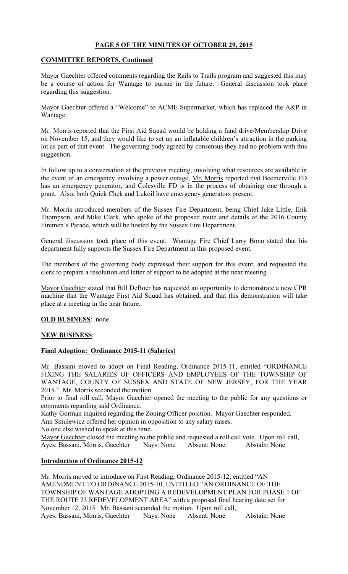# PAGE 5 OF THE MINUTES OF OCTOBER 29, 2015

## COMMITTEE REPORTS, Continued

Mayor Gaechter offered comments regarding the Rails to Trails program and suggested this may be a course of action for Wantage to pursue in the future. General discussion took place regarding this suggestion.

Mayor Gaechter offered a "Welcome" to ACME Supermarket, which has replaced the A&P in Wantage.

Mr. Morris reported that the First Aid Squad would be holding a fund drive/Membership Drive on November 15, and they would like to set up an inflatable children's attraction in the parking lot as part of that event. The governing body agreed by consensus they had no problem with this suggestion.

In follow up to a conversation at the previous meeting, involving what resources are available in the event of an emergency involving a power outage, Mr. Morris reported that Beemerville FD has an emergency generator, and Colesville FD is in the process of obtaining one through a grant. Also, both Quick Chek and Lukoil have emergency generators present.

Mr. Morris introduced members of the Sussex Fire Department, being Chief Jake Little, Erik Thompson, and Mike Clark, who spoke of the proposed route and details of the 2016 County Firemen's Parade, which will be hosted by the Sussex Fire Department.

General discussion took place of this event. Wantage Fire Chief Larry Bono stated that his department fully supports the Sussex Fire Department in this proposed event.

The members of the governing body expressed their support for this event, and requested the clerk to prepare a resolution and letter of support to be adopted at the next meeting.

Mayor Gaechter stated that Bill DeBoer has requested an opportunity to demonstrate a new CPR machine that the Wantage First Aid Squad has obtained, and that this demonstration will take place at a meeting in the near future.

### OLD BUSINESS: none

### NEW BUSINESS:

## Final Adoption: Ordinance 2015-11 (Salaries)

Mr. Bassani moved to adopt on Final Reading, Ordinance 2015-11, entitled "ORDINANCE FIXING THE SALARIES OF OFFICERS AND EMPLOYEES OF THE TOWNSHIP OF WANTAGE, COUNTY OF SUSSEX AND STATE OF NEW JERSEY, FOR THE YEAR 2015." Mr. Morris seconded the motion.

Prior to final roll call, Mayor Gaechter opened the meeting to the public for any questions or comments regarding said Ordinance.

Kathy Gorman inquired regarding the Zoning Officer position. Mayor Gaechter responded.

Ann Smulewicz offered her opinion in opposition to any salary raises.

No one else wished to speak at this time.

Mayor Gaechter closed the meeting to the public and requested a roll call vote. Upon roll call,<br>Aves: Bassani, Morris, Gaechter Navs: None Absent: None Abstain: None Ayes: Bassani, Morris, Gaechter Nays: None Absent: None

## Introduction of Ordinance 2015-12

Mr. Morris moved to introduce on First Reading, Ordinance 2015-12, entitled "AN AMENDMENT TO ORDINANCE 2015-10, ENTITLED "AN ORDINANCE OF THE TOWNSHIP OF WANTAGE ADOPTING A REDEVELOPMENT PLAN FOR PHASE 1 OF THE ROUTE 23 REDEVELOPMENT AREA" with a proposed final hearing date set for November 12, 2015. Mr. Bassani seconded the motion. Upon roll call, Ayes: Bassani, Morris, Gaechter Nays: None Absent: None Abstain: None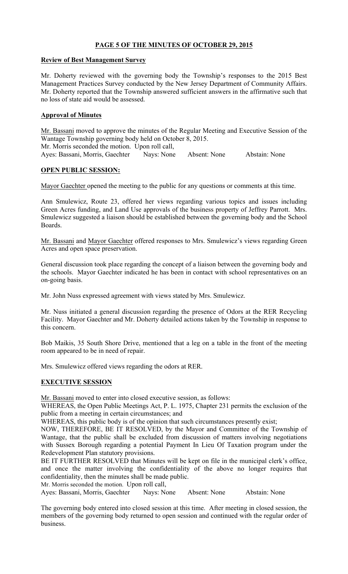# PAGE 5 OF THE MINUTES OF OCTOBER 29, 2015

## Review of Best Management Survey

Mr. Doherty reviewed with the governing body the Township's responses to the 2015 Best Management Practices Survey conducted by the New Jersey Department of Community Affairs. Mr. Doherty reported that the Township answered sufficient answers in the affirmative such that no loss of state aid would be assessed.

# Approval of Minutes

Mr. Bassani moved to approve the minutes of the Regular Meeting and Executive Session of the Wantage Township governing body held on October 8, 2015. Mr. Morris seconded the motion. Upon roll call, Ayes: Bassani, Morris, Gaechter Nays: None Absent: None Abstain: None

# OPEN PUBLIC SESSION:

Mayor Gaechter opened the meeting to the public for any questions or comments at this time.

Ann Smulewicz, Route 23, offered her views regarding various topics and issues including Green Acres funding, and Land Use approvals of the business property of Jeffrey Parrott. Mrs. Smulewicz suggested a liaison should be established between the governing body and the School Boards.

Mr. Bassani and Mayor Gaechter offered responses to Mrs. Smulewicz's views regarding Green Acres and open space preservation.

General discussion took place regarding the concept of a liaison between the governing body and the schools. Mayor Gaechter indicated he has been in contact with school representatives on an on-going basis.

Mr. John Nuss expressed agreement with views stated by Mrs. Smulewicz.

Mr. Nuss initiated a general discussion regarding the presence of Odors at the RER Recycling Facility. Mayor Gaechter and Mr. Doherty detailed actions taken by the Township in response to this concern.

Bob Maikis, 35 South Shore Drive, mentioned that a leg on a table in the front of the meeting room appeared to be in need of repair.

Mrs. Smulewicz offered views regarding the odors at RER.

# EXECUTIVE SESSION

Mr. Bassani moved to enter into closed executive session, as follows:

WHEREAS, the Open Public Meetings Act, P. L. 1975, Chapter 231 permits the exclusion of the public from a meeting in certain circumstances; and

WHEREAS, this public body is of the opinion that such circumstances presently exist;

NOW, THEREFORE, BE IT RESOLVED, by the Mayor and Committee of the Township of Wantage, that the public shall be excluded from discussion of matters involving negotiations with Sussex Borough regarding a potential Payment In Lieu Of Taxation program under the Redevelopment Plan statutory provisions.

BE IT FURTHER RESOLVED that Minutes will be kept on file in the municipal clerk's office, and once the matter involving the confidentiality of the above no longer requires that confidentiality, then the minutes shall be made public.

Mr. Morris seconded the motion. Upon roll call,

Ayes: Bassani, Morris, Gaechter Nays: None Absent: None Abstain: None

The governing body entered into closed session at this time. After meeting in closed session, the members of the governing body returned to open session and continued with the regular order of business.